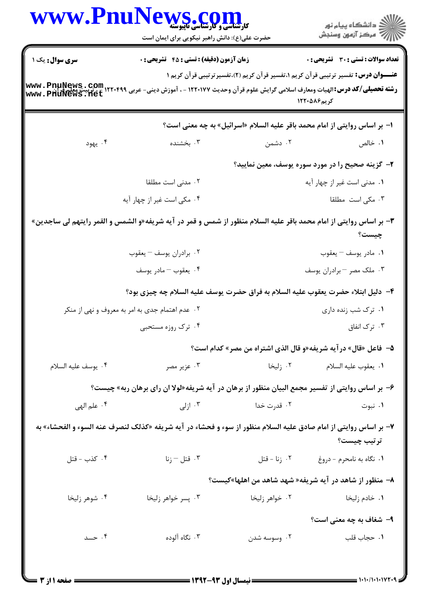| <b>WWW.Fnu</b>         | S. C<br><b>کارشناسی و کارشناسی تاپیوسته</b><br>حضرت علی(ع): دانش راهبر نیکویی برای ایمان است                                                   |                | ڪ دانشڪاه پيا <sub>م</sub> نور<br>۾ سرڪز آزمون وسنڊش                                                      |
|------------------------|------------------------------------------------------------------------------------------------------------------------------------------------|----------------|-----------------------------------------------------------------------------------------------------------|
| <b>سری سوال :</b> یک ۱ | <b>زمان آزمون (دقیقه) : تستی : 45 گشریحی : 0</b>                                                                                               |                | <b>تعداد سوالات : تستی : 30 ٪ تشریحی : 0</b>                                                              |
|                        | <b>رشته تحصیلی/کد درس:</b> الهیات ومعارف اسلامی گرایش علوم قرآن وحدیث ۱۲۲۰۱۷۷ - ، آموزش دینی- عربی ۱۲۲۰۴۹۹ ، پربیت معلو<br>Www . PhuNews . net |                | <b>عنـــوان درس:</b> تفسیر ترتیبی قرآن کریم ۱،تفسیر قرآن کریم (۲)،تفسیرترتیبی قرآن کریم ۱<br>کر یم۱۲۲۰۵۸۶ |
|                        |                                                                                                                                                |                | ا– بر اساس روایتی از امام محمد باقر علیه السلام «اسرائیل» به چه معنی است؟                                 |
| ۰۴ يهود                | ۰۳ بخشنده                                                                                                                                      | ۰۲ دشمن        | ۰۱ خالص                                                                                                   |
|                        |                                                                                                                                                |                | ۲- گزینه صحیح را در مورد سوره پوسف، معین نمایید؟                                                          |
|                        | ۰۲ مدنی است مطلقا                                                                                                                              |                | ۰۱ مدنی است غیر از چهار آیه                                                                               |
|                        | ۰۴ مکی است غیر از چهار آیه                                                                                                                     |                | ۰۳ مکی است  مطلقا                                                                                         |
|                        | ۳- بر اساس روایتی از امام محمد باقر علیه السلام منظور از شمس و قمر در آیه شریفه«و الشمس و القمر رایتهم لی ساجدین»                              |                | چیست؟                                                                                                     |
|                        | ۰۲ برادران يوسف – يعقوب                                                                                                                        |                | ٠١ مادر يوسف - يعقوب                                                                                      |
|                        | ۰۴ يعقوب - مادر يوسف                                                                                                                           |                | ۰۳ ملک مصر – برادران یوسف                                                                                 |
|                        | ۴– دلیل ابتلاء حضرت یعقوب علیه السلام به فراق حضرت یوسف علیه السلام چه چیزی بود؟                                                               |                |                                                                                                           |
|                        | ۰۲ عدم اهتمام جدی به امر به معروف و نهی از منکر                                                                                                |                | ۰۱ ترک شب زنده داری                                                                                       |
|                        | ۰۴ ترک روزه مستحبی                                                                                                                             |                | ۰۳ ترک انفاق                                                                                              |
|                        |                                                                                                                                                |                | ۵–  فاعل «قال» در آیه شریفه«و قال الذی اشتراه من مصر» کدام است؟                                           |
| ۰۴ يوسف عليه السلام    | ۰۳ عزیر مصر                                                                                                                                    | ۰۲ زلیخا       | ٠١. يعقوب عليه السلام                                                                                     |
|                        | ۶- بر اساس روایتی از تفسیر مجمع البیان منظور از برهان در آیه شریفه«لولا ان رای برهان ربه» چیست؟                                                |                |                                                                                                           |
| ۰۴ علم الهي            | ۰۳ ازلی                                                                                                                                        | ۰۲ قدرت خدا    | ۰۱ نبوت                                                                                                   |
|                        | ۷- بر اساس روایتی از امام صادق علیه السلام منظور از سوء و فحشاء در آیه شریفه «کذلک لنصرف عنه السوء و الفحشاء» به                               |                | ترتيب چيست؟                                                                                               |
| ۰۴ کذب - قتل           | تال – زنا $^{\circ}$ . ۳                                                                                                                       | ۰۲ زنا - قتل   | ٠١ نگاه به نامحرم - دروغ                                                                                  |
|                        |                                                                                                                                                |                | ۸– منظور از شاهد در آیه شریفه« شهد شاهد من اهلها»کیست؟                                                    |
| ۰۴ شوهر زليخا          | ۰۳ پسر خواهر زليخا                                                                                                                             | ۰۲ خواهر زليخا | ۰۱ خادم زليخا                                                                                             |
|                        |                                                                                                                                                |                | ۹- شغاف به چه معنی است؟                                                                                   |
| ۰۴ حسد                 | ۰۳ نگاه آلوده                                                                                                                                  | ۰۲ وسوسه شدن   | ٠١. حجاب قلب                                                                                              |
|                        |                                                                                                                                                |                |                                                                                                           |
|                        |                                                                                                                                                |                | = 1+1+/1+1+172+9                                                                                          |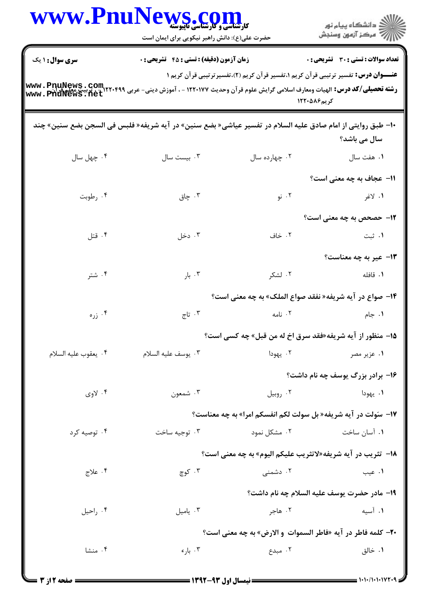| <b>www.rnu</b> r     | <b>کارشناسی و کارشناسی تاپیوسته</b><br>حضرت علی(ع): دانش راهبر نیکویی برای ایمان است                        |                                                                                                                                                                                                                                                                                                                                                             | ≦ دانشگاه پيام نو <b>ر</b><br>۽ '' مرڪز آزمون وسنڊش |  |  |
|----------------------|-------------------------------------------------------------------------------------------------------------|-------------------------------------------------------------------------------------------------------------------------------------------------------------------------------------------------------------------------------------------------------------------------------------------------------------------------------------------------------------|-----------------------------------------------------|--|--|
| سری سوال: ۱ یک       | زمان آزمون (دقیقه) : تستی : 45 آتشریحی : 0                                                                  |                                                                                                                                                                                                                                                                                                                                                             | تعداد سوالات : تستى : 30 ٪ تشريحي : 0               |  |  |
| www.PhuNews.net      |                                                                                                             | <b>عنـــوان درس:</b> تفسیر ترتیبی قرآن کریم ۱،تفسیر قرآن کریم (۲)،تفسیرترتیبی قرآن کریم ۱<br><b>رشته تحصیلی/کد درس:</b> الهیات ومعارف اسلامی گرایش علوم قرآن وحدیث ۱۲۲۰۱۷۷ - ، آموزش دینی- عربی ۲۲۰۴۹۹ ۲۲۰۰۵ به www<br>------ <del>۱۸۰۰۰ میلی /کد درس:</del> الهیات ومعارف اسلامی گرایش علوم قرآن وحدیث ۱۲۲۰۱۷۷ - ، آموزش دینی- ۲۰۰۰ میلادی<br>کر یم۵۸۶-۱۲۲ |                                                     |  |  |
|                      | +ا– طبق روايتي از امام صادق عليه السلام در تفسير عياشي« بضع سنين» در آيه شريفه« فلبس في السجن بضع سنين» چند |                                                                                                                                                                                                                                                                                                                                                             | سال می باشد؟                                        |  |  |
| ۰۴ چهل سال           | ۰۳ بیست سال                                                                                                 | ۰۲ چهارده سال                                                                                                                                                                                                                                                                                                                                               | ۰۱ هفت سال                                          |  |  |
|                      |                                                                                                             |                                                                                                                                                                                                                                                                                                                                                             | 11– عجاف به چه معنی است؟                            |  |  |
| ۰۴ رطوبت             | ۰۳ چاق                                                                                                      | ۰۲ نو                                                                                                                                                                                                                                                                                                                                                       | ۱. لاغر                                             |  |  |
|                      |                                                                                                             |                                                                                                                                                                                                                                                                                                                                                             | <b>۱۲</b> - حصحص به چه معنی است؟                    |  |  |
| ۰۴ قتل               | ۰۳ دخل                                                                                                      | ۰۲ خاف                                                                                                                                                                                                                                                                                                                                                      | ۰۱ ثبت                                              |  |  |
|                      |                                                                                                             |                                                                                                                                                                                                                                                                                                                                                             | <b>۱۳</b> - عیر به چه معناست؟                       |  |  |
| ۰۴ شتر               | ۰۳ بار                                                                                                      | ۰۲ لشکر                                                                                                                                                                                                                                                                                                                                                     | ٠١. قافله                                           |  |  |
|                      |                                                                                                             | ۱۴– صواع در آیه شریفه« نفقد صواع الملک» به چه معنی است؟                                                                                                                                                                                                                                                                                                     |                                                     |  |  |
| ۰۴ زره               | ۰۳ تاج                                                                                                      | ۰۲ نامه                                                                                                                                                                                                                                                                                                                                                     | ۰۱ جام                                              |  |  |
|                      |                                                                                                             | 15- منظور از آیه شریفه«فقد سرق اخ له من قبل» چه کسی است؟                                                                                                                                                                                                                                                                                                    |                                                     |  |  |
| ۰۴ يعقوب عليه السلام | ٠٣. يوسف عليه السلام                                                                                        | ۰۲ يهودا                                                                                                                                                                                                                                                                                                                                                    | ۰۱ عزیر مصر                                         |  |  |
|                      |                                                                                                             |                                                                                                                                                                                                                                                                                                                                                             | ۱۶- برادر بزرگ پوسف چه نام داشت؟                    |  |  |
| ۰۴ لاوی              | ۰۳ شمعون                                                                                                    | ۰۲ روبیل                                                                                                                                                                                                                                                                                                                                                    | ۰۱ يهودا                                            |  |  |
|                      |                                                                                                             | 17- سَولت در آيه شريفه« بل سولت لكم انفسكم امرا» به چه معناست؟                                                                                                                                                                                                                                                                                              |                                                     |  |  |
| ۰۴ توصیه کرد         | ۰۳ توجيه ساخت                                                                                               | ۲. مشکل نمود                                                                                                                                                                                                                                                                                                                                                | ۰۱ آسان ساخت                                        |  |  |
|                      |                                                                                                             | 18-  تثريب در آيه شريفه«لاتثريب عليكم اليوم» به چه معنى است؟                                                                                                                                                                                                                                                                                                |                                                     |  |  |
| ۰۴ علاج              | ۰۳ کوچ                                                                                                      | ۰۲ دشمنی                                                                                                                                                                                                                                                                                                                                                    | ۰۱ عیب                                              |  |  |
|                      |                                                                                                             |                                                                                                                                                                                                                                                                                                                                                             | 19- مادر حضرت يوسف عليه السلام چه نام داشت؟         |  |  |
| ۰۴ راحيل             | ۰۳ ياميل                                                                                                    | ۰۲ هاجر                                                                                                                                                                                                                                                                                                                                                     | ٠١ آسيه                                             |  |  |
|                      |                                                                                                             | <b>۲۰</b> - كلمه فاطر در آيه «فاطر السموات و الارض» به چه معنى است؟                                                                                                                                                                                                                                                                                         |                                                     |  |  |
| ۰۴ منشا              | ۰۳ باره                                                                                                     | ۰۲ مبدع                                                                                                                                                                                                                                                                                                                                                     | ۰۱ خالق                                             |  |  |
| : ۳ :۱۲ مخصصه ۱۳     |                                                                                                             |                                                                                                                                                                                                                                                                                                                                                             | = 1.1./1.1.172.9 =                                  |  |  |

 $\blacksquare$